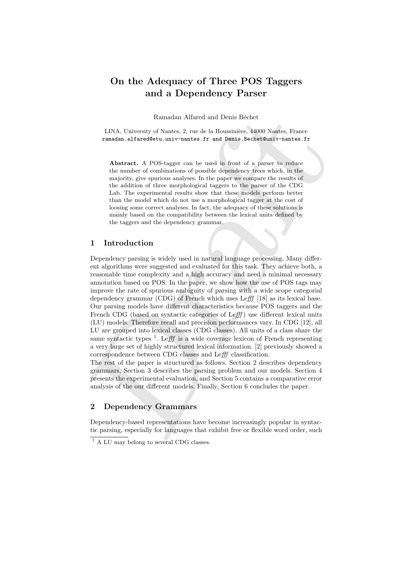# **On the Adequacy of Three POS Taggers and a Dependency Parser**

Ramadan Alfared and Denis Béchet

LINA, University of Nantes, 2, rue de la Houssinière, 44000 Nantes, France ramadan.alfared@etu.univ-nantes.fr and Denis.Bechet@univ-nantes.fr

**Abstract.** A POS-tagger can be used in front of a parser to reduce the number of combinations of possible dependency trees which, in the majority, give spurious analyses. In the paper we compare the results of the addition of three morphological taggers to the parser of the CDG Lab. The experimental results show that these models perform better than the model which do not use a morphological tagger at the cost of loosing some correct analyses. In fact, the adequacy of these solutions is mainly based on the compatibility between the lexical units defined by the taggers and the dependency grammar.

## **1 Introduction**

Ramadan Alfared and Denis Béchet IINA, University of Nuntes, 2, me de la Illusta<br/>ince, and Equations, alfared and  $\sim$ 10 and  $\sim$ 10 and<br/> $\sim$ 10 and  $\sim$ 10 and  $\sim$ 10 and  $\sim$ 10 and the molecular dentance of a part Dependency parsing is widely used in natural language processing. Many different algorithms were suggested and evaluated for this task. They achieve both, a reasonable time complexity and a high accuracy and need a minimal necessary annotation based on POS. In the paper, we show how the use of POS tags may improve the rate of spurious ambiguity of parsing with a wide scope categorial dependency grammar (CDG) of French which uses Le*fff* [18] as its lexical base. Our parsing models have different characteristics because POS taggers and the French CDG (based on syntactic categories of Lefff) use different lexical units (LU) models. Therefore recall and precision performances vary. In CDG [12], all LU are grouped into lexical classes (CDG classes). All units of a class share the same syntactic types <sup>1</sup>. Lefff is a wide coverage lexicon of French representing a very large set of highly structured lexical information. [2] previously showed a correspondence between CDG classes and Le*fff* classification.

The rest of the paper is structured as follows. Section 2 describes dependency grammars, Section 3 describes the parsing problem and our models. Section 4 presents the experimental evaluation, and Section 5 contains a comparative error analysis of the our different models. Finally, Section 6 concludes the paper.

## **2 Dependency Grammars**

Dependency-based representations have become increasingly popular in syntactic parsing, especially for languages that exhibit free or flexible word order, such

 $1$  A LU may belong to several CDG classes.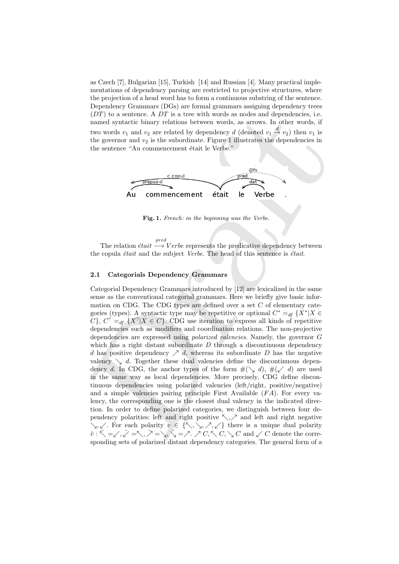as Czech [7], Bulgarian [15], Turkish [14] and Russian [4]. Many practical implementations of dependency parsing are restricted to projective structures, where the projection of a head word has to form a continuous substring of the sentence. Dependency Grammars (DGs) are formal grammars assigning dependency trees (*DT*) to a sentence. A *DT* is a tree with words as nodes and dependencies, i.e. named syntactic binary relations between words, as arrows. In other words, if two words  $v_1$  and  $v_2$  are related by dependency *d* (denoted  $v_1 \stackrel{d}{\rightarrow} v_2$ ) then  $v_1$  is the governor and  $v_2$  is the subordinate. Figure 1 illustrates the dependencies in the sentence "Au commencement était le Verbe."



**Fig. 1.** *French: in the beginning was the Verbe*.

The relation  $\acute{e}tait \rightarrow \nabla \acute{e}r be$  represents the predicative dependency between the copula *était* and the subject *Verbe*. The head of this sentence is *était*.

## **2.1 Categorials Dependency Grammars**

(IIT) to a scatterior. A DT is a tree with words as nodes and dependencies, i.e.<br>then we means system with the street with the street with the street with the given reached by the product of the given rando given the sect Categorial Dependency Grammars introduced by [12] are lexicalized in the same sense as the conventional categorial grammars. Here we briefly give basic information on CDG. The CDG types are defined over a set *C* of elementary categories (types). A syntactic type may be repetitive or optional  $C^* =_{df} {X^*|X \in \mathbb{R}^d}$  $C$ <sup>*}*</sup>,  $C$ <sup>*?*</sup> =<sub>*df*</sub> { $X$ <sup>*?*</sup>| $X \in C$ }. CDG use iteration to express all kinds of repetitive dependencies such as modifiers and coordination relations. The non-projective dependencies are expressed using *polarized valencies*. Namely, the governor *G* which has a right distant subordinate *D* through a discontinuous dependency *d* has positive dependency  $\nearrow d$ , whereas its subordinate *D* has the negative valency  $\searrow d$ . Together these dual valencies define the discontinuous dependency *d*. In CDG, the anchor types of the form  $\#(\searrow d)$ ,  $\#(\swarrow d)$  are used in the same way as local dependencies. More precisely, CDG define discontinuous dependencies using polarized valencies (left/right, positive/negative) and a simple valencies pairing principle First Available (*F A*). For every valency, the corresponding one is the closest dual valency in the indicated direction. In order to define polarized categories, we distinguish between four dependency polarities: left and right positive  $\nwarrow, \nearrow$  and left and right negative  $\setminus$ <sub>*x*</sub>,  $\checkmark$ . For each polarity *v* ∈ { $\checkmark$ ,  $\setminus$ <sub>*n*</sub>,  $\checkmark$ <sub>*,*</sub>  $\checkmark$ } there is a unique dual polarity  $\check{v}: \check{\nwarrow} = \check{\swarrow}, \check{\swarrow} = \check{\nwarrow}, \check{\nearrow} = \check{\swarrow}, \check{\swarrow} = \check{\nearrow}$ .  $\nearrow C, \check{\nwarrow} C, \searrow C$  and  $\swarrow C$  denote the corresponding sets of polarized distant dependency categories. The general form of a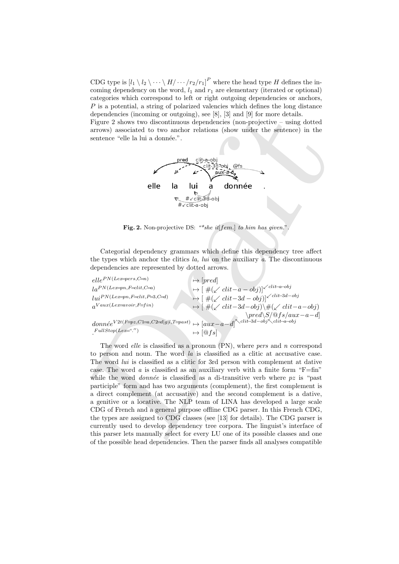CDG type is  $[l_1 \setminus l_2 \setminus \cdots \setminus H/\cdots/r_2/r_1]^P$  where the head type *H* defines the incoming dependency on the word, *l*<sup>1</sup> and *r*<sup>1</sup> are elementary (iterated or optional) categories which correspond to left or right outgoing dependencies or anchors, *P* is a potential, a string of polarized valencies which defines the long distance dependencies (incoming or outgoing), see [8], [3] and [9] for more details. Figure 2 shows two discontinuous dependencies (non-projective – using dotted arrows) associated to two anchor relations (show under the sentence) in the sentence "elle la lui a donnée.".



**Fig. 2.** Non-projective DS: *"\*she it*[*fem.*] *to him has given.*".

Categorial dependency grammars which define this dependency tree affect the types which anchor the clitics *la, lui* on the auxiliary *a*. The discontinuous dependencies are represented by dotted arrows.

| $elle^{PN(Lex=pers, C=n)}$        | $\mapsto$ [pred]                                                                                              |
|-----------------------------------|---------------------------------------------------------------------------------------------------------------|
| $la^{PN(Lex=pn, F=clit, C=a)}$    | $\mapsto [\#(\swarrow \text{clit} - a - \text{obj})]^{\swarrow \text{clit} - a - \text{obj}}$                 |
| $lui^{PN(Lex=pn,F=clit,P=3,C=d)}$ | $\mapsto [\#(\swarrow \text{clit} - 3d - \text{obj})]^{\swarrow \text{clit} - 3d - \text{obj}}$               |
| $a^{Vaux(Lex-avoir, F=fin)}$      | $\mapsto [\#(\swarrow \text{clit} - 3d - obj) \setminus \#(\swarrow \text{clit} - a - obj)]$                  |
|                                   | $\left\langle pred\backslash S/\mathbb{Q}fs/aux-a-d\right\rangle$                                             |
|                                   | $donn\acute{e}e^{V2t(F=pz,C1=a,C2=d g l,T=past)} \mapsto [aux-a-d]^{\nwarrow clit-3d-obj\nwarrow clit-a-obj}$ |
| $FullStop(Lex$ "."                | $\mapsto [\mathbb Qfs]$                                                                                       |
|                                   |                                                                                                               |

dependencies (incoming or outgoing), sec [8], [3] and [9] for more details.<br>
Figure 2 shows two discontinuous dependencies (tem-projective using dotted<br>
arrows associated to two anchor relations (show under the sentence) The word *elle* is classified as a pronoun (PN), where *pers* and *n* correspond to person and noun. The word *la* is classified as a clitic at accusative case. The word *lui* is classified as a clitic for 3rd person with complement at dative case. The word  $\alpha$  is classified as an auxiliary verb with a finite form "F=fin" while the word *donnée* is classified as a di-transitive verb where  $pz$  is "past" participle" form and has two arguments (complement), the first complement is a direct complement (at accusative) and the second complement is a dative, a genitive or a locative. The NLP team of LINA has developed a large scale CDG of French and a general purpose offline CDG parser. In this French CDG, the types are assigned to CDG classes (see [13] for details). The CDG parser is currently used to develop dependency tree corpora. The linguist's interface of this parser lets manually select for every LU one of its possible classes and one of the possible head dependencies. Then the parser finds all analyses compatible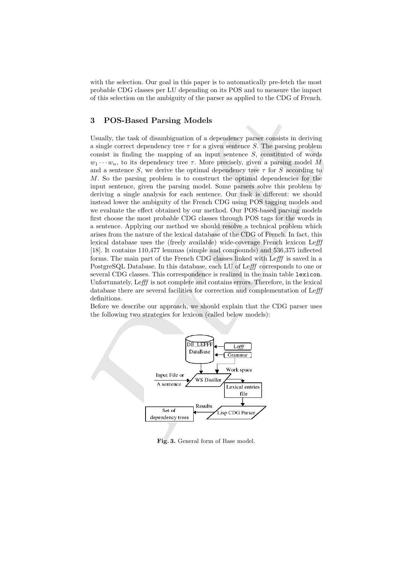with the selection. Our goal in this paper is to automatically pre-fetch the most probable CDG classes per LU depending on its POS and to measure the impact of this selection on the ambiguity of the parser as applied to the CDG of French.

## **3 POS-Based Parsing Models**

3 **POS-Based Parsing Models**<br>
Usually, the task of disambiguation of a dependency parser consists in deriving<br>
usually correct dependency parser consists in deriving a simple correct dependency there is given simple reduc Usually, the task of disambiguation of a dependency parser consists in deriving a single correct dependency tree  $\tau$  for a given sentence *S*. The parsing problem consist in finding the mapping of an input sentence *S*, constituted of words  $w_1 \cdots w_n$ , to its dependency tree  $\tau$ . More precisely, given a parsing model M and a sentence *S*, we derive the optimal dependency tree  $\tau$  for *S* according to *M*. So the parsing problem is to construct the optimal dependencies for the input sentence, given the parsing model. Some parsers solve this problem by deriving a single analysis for each sentence. Our task is different: we should instead lower the ambiguity of the French CDG using POS tagging models and we evaluate the effect obtained by our method. Our POS-based parsing models first choose the most probable CDG classes through POS tags for the words in a sentence. Applying our method we should resolve a technical problem which arises from the nature of the lexical database of the CDG of French. In fact, this lexical database uses the (freely available) wide-coverage French lexicon Le*fff* [18]. It contains 110,477 lemmas (simple and compounds) and 536,375 inflected forms. The main part of the French CDG classes linked with Le*fff* is saved in a PostgreSQL Database. In this database, each LU of Le*fff* corresponds to one or several CDG classes. This correspondence is realized in the main table lexicon. Unfortunately, Le*fff* is not complete and contains errors. Therefore, in the lexical database there are several facilities for correction and complementation of Le*fff* definitions.

Before we describe our approach, we should explain that the CDG parser uses the following two strategies for lexicon (called below models):



**Fig. 3.** General form of Base model.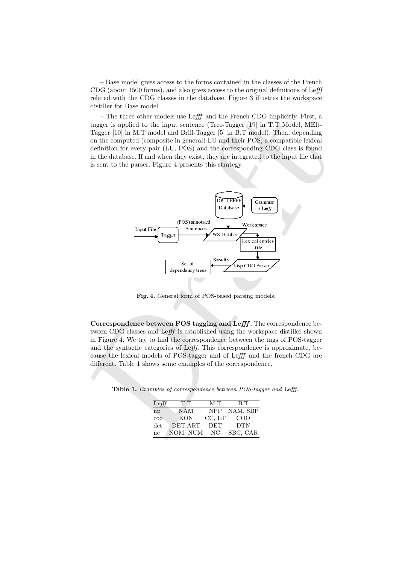– Base model gives access to the forms contained in the classes of the French CDG (about 1500 forms), and also gives access to the original definitions of Le*fff* related with the CDG classes in the database. Figure 3 illustres the workspace distiller for Base model.

– The three other models use Le*fff* and the French CDG implicitly. First, a tagger is applied to the input sentence (Tree-Tagger [19] in T.T Model, MElt-Tagger [10] in M.T model and Brill-Tagger [5] in B.T model). Then, depending on the computed (composite in general) LU and their POS, a compatible lexical definition for every pair (LU, POS) and the corresponding CDG class is found in the database. If and when they exist, they are integrated to the input file that is sent to the parser. Figure 4 presents this strategy.



**Fig. 4.** General form of POS-based parsing models.

**Correspondence between POS tagging and Le***fff* : The correspondence between CDG classes and Le*fff* is established using the workspace distiller shown in Figure 4. We try to find the correspondence between the tags of POS-tagger and the syntactic categories of Le*fff*. This correspondence is approximate, because the lexical models of POS-tagger and of Le*fff* and the french CDG are different. Table 1 shows some examples of the correspondence.

|  |  |  |  | <b>Table 1.</b> Examples of correspondence between POS-tagger and Lefff. |  |  |  |  |
|--|--|--|--|--------------------------------------------------------------------------|--|--|--|--|
|--|--|--|--|--------------------------------------------------------------------------|--|--|--|--|

| Lefff                  | T.T        | M.T        | B.T        |
|------------------------|------------|------------|------------|
| np                     | NAM        | <b>NPP</b> | NAM, SBP   |
| $\overline{\text{co}}$ | <b>KON</b> | CC, ET     | COO        |
| $\det$                 | DET:ART    | <b>DET</b> | <b>DTN</b> |
| nc                     | NOM, NUM   | NC         | SBC, CAR   |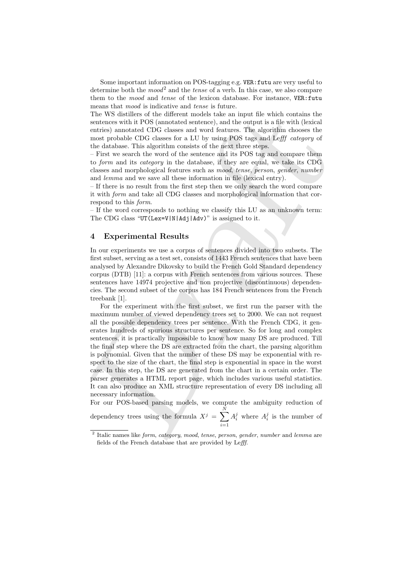Some important information on POS-tagging e.g. VER:futu are very useful to determine both the *mood*<sup>2</sup> and the *tense* of a verb. In this case, we also compare them to the *mood* and *tense* of the lexicon database. For instance, VER:futu means that *mood* is indicative and *tense* is future.

The WS distillers of the different models take an input file which contains the sentences with it POS (annotated sentence), and the output is a file with (lexical entries) annotated CDG classes and word features. The algorithm chooses the most probable CDG classes for a LU by using POS tags and Le*fff category* of the database. This algorithm consists of the next three steps.

– First we search the word of the sentence and its POS tag and compare them to *form* and its *category* in the database, if they are equal, we take its CDG classes and morphological features such as *mood*, *tense*, *person*, *gender*, *number* and *lemma* and we save all these information in file (lexical entry).

– If there is no result from the first step then we only search the word compare it with *form* and take all CDG classes and morphological information that correspond to this *form*.

– If the word corresponds to nothing we classify this LU as an unknown term: The CDG class "UT(Lex=V|N|Adj|Adv)" is assigned to it.

## **4 Experimental Results**

In our experiments we use a corpus of sentences divided into two subsets. The first subset, serving as a test set, consists of 1443 French sentences that have been analysed by Alexandre Dikovsky to build the French Gold Standard dependency corpus (DTB) [11]: a corpus with French sentences from various sources. These sentences have 14974 projective and non projective (discontinuous) dependencies. The second subset of the corpus has 184 French sentences from the French treebank [1].

The WS distillars of the different models take an input file which contains the<br>systems swith it POS (amotated sentence), and the output is a file with (herical<br>antences with it POS (amotated sentence), and the output is For the experiment with the first subset, we first run the parser with the maximum number of viewed dependency trees set to 2000. We can not request all the possible dependency trees per sentence. With the French CDG, it generates hundreds of spurious structures per sentence. So for long and complex sentences, it is practically impossible to know how many DS are produced. Till the final step where the DS are extracted from the chart, the parsing algorithm is polynomial. Given that the number of these DS may be exponential with respect to the size of the chart, the final step is exponential in space in the worst case. In this step, the DS are generated from the chart in a certain order. The parser generates a HTML report page, which includes various useful statistics. It can also produce an XML structure representation of every DS including all necessary information.

For our POS-based parsing models, we compute the ambiguity reduction of dependency trees using the formula  $X^j = \sum^N$  $A_i^j$  where  $A_i^j$  is the number of

*i*=1

<sup>2</sup> Italic names like *form*, *category*, *mood*, *tense*, *person*, *gender*, *number* and *lemma* are fields of the French database that are provided by Le*fff*.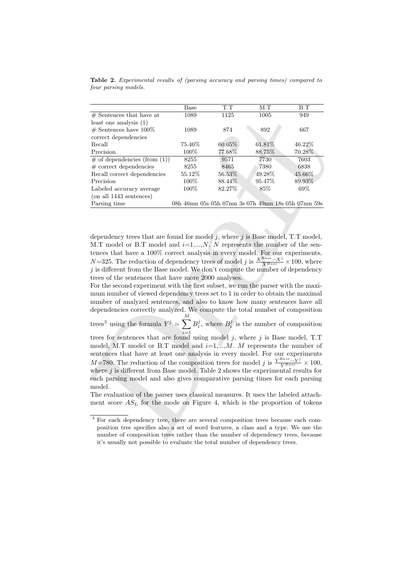|                                                                                                                                                                             | Base      | $\overline{T.T}$ | M.T                                                | B.T       |
|-----------------------------------------------------------------------------------------------------------------------------------------------------------------------------|-----------|------------------|----------------------------------------------------|-----------|
| $#$ Sentences that have at                                                                                                                                                  | 1089      | 1125             | 1005                                               | 949       |
| least one analysis $(1)$                                                                                                                                                    |           |                  |                                                    |           |
| $#$ Sentences have 100\%                                                                                                                                                    | 1089      | 874              | 892                                                | 667       |
| correct dependencies                                                                                                                                                        |           |                  |                                                    |           |
| Recall                                                                                                                                                                      | $75.46\%$ | $60.65\%$        | $61.81\%$                                          | $46.22\%$ |
| Precision                                                                                                                                                                   | 100%      | 77.68%           | 88.75%                                             | 70.28%    |
| $#$ of dependencies (from $(1)$ )                                                                                                                                           | 8255      | 9571             | 7730                                               | 7603      |
| $#$ correct dependencies                                                                                                                                                    | 8255      | 8465             | 7380                                               | 6838      |
| Recall correct dependencies                                                                                                                                                 | $55.12\%$ | $56.53\%$        | 49.28\%                                            | 45.66%    |
| Precision                                                                                                                                                                   | $100\%$   | 88.44%           | 95.47%                                             | 89.93%    |
| Labeled accuracy average                                                                                                                                                    | 100%      | 82.27%           | 85%                                                | $69\%$    |
| (on all 1443 sentences)                                                                                                                                                     |           |                  |                                                    |           |
| Parsing time                                                                                                                                                                |           |                  | 08h 46mn 05s 05h 07mn 3s 07h 49mn 18s 05h 07mn 59s |           |
| dependency trees that are found for model j, where j is Base model, T.T model,<br>M.T model or B.T model and $i=1,,N$ . N represents the number of the sen-                 |           |                  |                                                    |           |
| tences that have a 100% correct analysis in every model. For our experiments,                                                                                               |           |                  |                                                    |           |
| $N=325$ . The reduction of dependency trees of model j is $\frac{X^{Base}-X^j}{X^{Base}} \times 100$ , where                                                                |           |                  |                                                    |           |
| $j$ is different from the Base model. We don't compute the number of dependency                                                                                             |           |                  |                                                    |           |
| trees of the sentences that have more 2000 analyses.                                                                                                                        |           |                  |                                                    |           |
|                                                                                                                                                                             |           |                  |                                                    |           |
| For the second experiment with the first subset, we run the parser with the maxi-                                                                                           |           |                  |                                                    |           |
| mum number of viewed dependency trees set to 1 in order to obtain the maximal                                                                                               |           |                  |                                                    |           |
| number of analyzed sentences, and also to know how many sentences have all                                                                                                  |           |                  |                                                    |           |
| dependencies correctly analyzed. We compute the total number of composition                                                                                                 |           |                  |                                                    |           |
| trees <sup>3</sup> using the formula $Y^j = \sum_{i=1}^{M} B_i^j$ , where $B_i^j$ is the number of composition                                                              |           |                  |                                                    |           |
| trees for sentences that are found using model $j$ , where $j$ is Base model, T.T                                                                                           |           |                  |                                                    |           |
| model, M.T model or B.T model and $i=1,,M$ . M represents the number of                                                                                                     |           |                  |                                                    |           |
|                                                                                                                                                                             |           |                  |                                                    |           |
| sentences that have at least one analysis in every model. For our experiments                                                                                               |           |                  |                                                    |           |
| $M=780$ . The reduction of the composition trees for model j is $\frac{Y^{Base}-Y^j}{Y^{Base}} \times 100$ ,                                                                |           |                  |                                                    |           |
| where $j$ is different from Base model. Table 2 shows the experimental results for                                                                                          |           |                  |                                                    |           |
| each parsing model and also gives comparative parsing times for each parsing                                                                                                |           |                  |                                                    |           |
| model.                                                                                                                                                                      |           |                  |                                                    |           |
| The evaluation of the parser uses classical measures. It uses the labeled attach-                                                                                           |           |                  |                                                    |           |
| ment score $AS_L$ for the mode on Figure 4, which is the proportion of tokens                                                                                               |           |                  |                                                    |           |
| 3<br>For each dependency tree, there are several composition trees because each com-<br>position tree specifies also a set of word features, a class and a type. We use the |           |                  |                                                    |           |
| number of composition trees rather than the number of dependency trees, because                                                                                             |           |                  |                                                    |           |

**Table 2.** *Experimental results of (parsing accuracy and parsing times) compared to four parsing models.*

<sup>&</sup>lt;sup>3</sup> For each dependency tree, there are several composition trees because each composition tree specifies also a set of word features, a class and a type. We use the number of composition trees rather than the number of dependency trees, because it's usually not possible to evaluate the total number of dependency trees.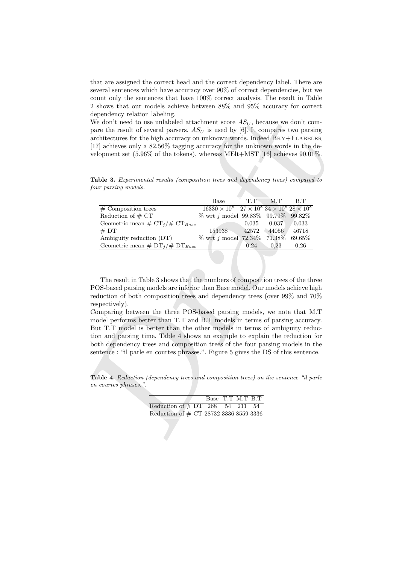that are assigned the correct head and the correct dependency label. There are several sentences which have accuracy over 90% of correct dependencies, but we count only the sentences that have 100% correct analysis. The result in Table 2 shows that our models achieve between 88% and 95% accuracy for correct dependency relation labeling.

**Table 3.** *Experimental results (composition trees and dependency trees) compared to four parsing models.*

| four parsing models.                                                                         | Table 3. Experimental results (composition trees and dependency trees) compared to                                                                                                                                                                  |
|----------------------------------------------------------------------------------------------|-----------------------------------------------------------------------------------------------------------------------------------------------------------------------------------------------------------------------------------------------------|
|                                                                                              | T.T<br>$\overline{M.T}$<br>Base<br>B.T                                                                                                                                                                                                              |
| $#$ Composition trees<br>Reduction of $# CT$<br>Geometric mean # $CT_j/\text{\# } CT_{Base}$ | $16330 \times 10^8$ $27 \times 10^8$ $34 \times 10^8$ $28 \times 10^8$<br>$\%$ wrt j model 99.83 $\%$<br>99.79%<br>99.82%<br>0,037<br>0,033<br>0,035                                                                                                |
| #DT                                                                                          | 153938<br>42572<br>44056<br>46718                                                                                                                                                                                                                   |
| Ambiguity reduction (DT)<br>Geometric mean # $DT_j/\# DT_{Base}$                             | $\%$ wrt j model 72.34 $\%$<br>71.38%<br>69.65%<br>0,24<br>0,26<br>0,23                                                                                                                                                                             |
|                                                                                              | Comparing between the three POS-based parsing models, we note that M.T<br>model performs better than T.T and B.T models in terms of parsing accuracy.<br>But T.T model is better than the other models in terms of ambiguity reduc-                 |
|                                                                                              | tion and parsing time. Table 4 shows an example to explain the reduction for<br>both dependency trees and composition trees of the four parsing models in the<br>sentence : "il parle en courtes phrases.". Figure 5 gives the DS of this sentence. |

**Table 4.** *Reduction (dependency trees and composition trees) on the sentence "il parle en courtes phrases.".*

|                                        | Base T.T M.T B.T |  |  |
|----------------------------------------|------------------|--|--|
| Reduction of $#DT$ 268 54 211 54       |                  |  |  |
| Reduction of # CT 28732 3336 8559 3336 |                  |  |  |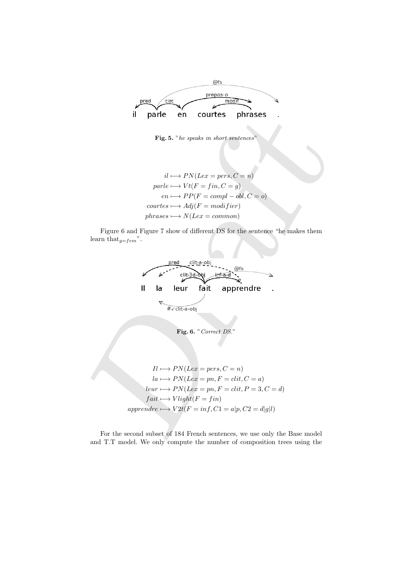

**Fig. 5.** "*he speaks in short sentences*"

 $il \rightarrow PN(Lex = pers, C = n)$  $parle \rightarrow V t(F = fin, C = g)$  $en \rightarrow PP(F = compl - obl, C = o)$  $course \longmapsto Adj(F = modifier)$  $phrases \rightarrow N(Lex = common)$ 

Figure 6 and Figure 7 show of different DS for the sentence "he makes them learn that  $_{g=rem}$ ".



**Fig. 6.** "*Correct DS.*"

$$
Il \longmapsto PN(Lex = pers, C = n)
$$
  
\n
$$
la \longmapsto PN(Lex = pn, F = clit, C = a)
$$
  
\n
$$
leur \longmapsto PN(Lex = pn, F = clit, P = 3, C = d)
$$
  
\n
$$
fail \longmapsto Vlight(F = fin)
$$
  
\n
$$
apprende \longmapsto V2t(F = inf, C1 = a|p, C2 = d|g|l)
$$

For the second subset of 184 French sentences, we use only the Base model and T.T model. We only compute the number of composition trees using the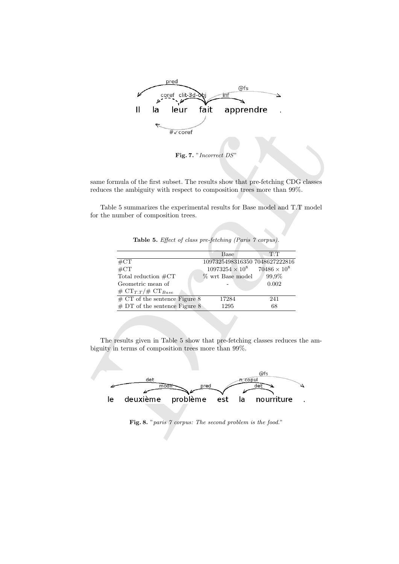

**Fig. 7.** "*Incorrect DS*"

|    | #∠coref                                                                          |                        |                                |
|----|----------------------------------------------------------------------------------|------------------------|--------------------------------|
|    |                                                                                  |                        |                                |
|    | Fig. 7. "Incorrect DS"                                                           |                        |                                |
|    |                                                                                  |                        |                                |
|    |                                                                                  |                        |                                |
|    | same formula of the first subset. The results show that pre-fetching CDG classes |                        |                                |
|    | reduces the ambiguity with respect to composition trees more than 99%.           |                        |                                |
|    |                                                                                  |                        |                                |
|    | Table 5 summarizes the experimental results for Base model and T.T model         |                        |                                |
|    | for the number of composition trees.                                             |                        |                                |
|    |                                                                                  |                        |                                |
|    |                                                                                  |                        |                                |
|    | Table 5. Effect of class pre-fetching (Paris 7 corpus).                          |                        |                                |
|    |                                                                                  | <b>Base</b>            | T.T                            |
|    | $\overline{\rm \#CT}$                                                            |                        | 1097325498316350 7048627222816 |
|    | $\#CT$                                                                           | $10973254 \times 10^8$ | $70486 \times 10^{8}$          |
|    | Total reduction $\#\mathrm{CT}$<br>Geometric mean of                             | % wrt Base model       | 99,9%<br>0.002                 |
|    | # $CT_{T.T}/$ # $CT_{Base}$                                                      |                        |                                |
|    | $#$ CT of the sentence Figure 8                                                  | 17284                  | 241                            |
|    | $# DT$ of the sentence Figure 8                                                  | 1295                   | 68                             |
|    |                                                                                  |                        |                                |
|    |                                                                                  |                        |                                |
|    |                                                                                  |                        |                                |
|    | The results given in Table 5 show that pre-fetching classes reduces the am-      |                        |                                |
|    | biguity in terms of composition trees more than 99%.                             |                        |                                |
|    |                                                                                  |                        |                                |
|    |                                                                                  |                        | @fs                            |
|    | det                                                                              |                        | n copul                        |
|    | pred<br>modi                                                                     |                        | det                            |
|    |                                                                                  |                        |                                |
| le | deuxième                                                                         | est<br>la              | nourriture                     |
|    | problème                                                                         |                        |                                |
|    | Fig. 8. "paris 7 corpus: The second problem is the food."                        |                        |                                |

**Table 5.** *Effect of class pre-fetching (Paris 7 corpus).*



**Fig. 8.** "*paris 7 corpus: The second problem is the food.*"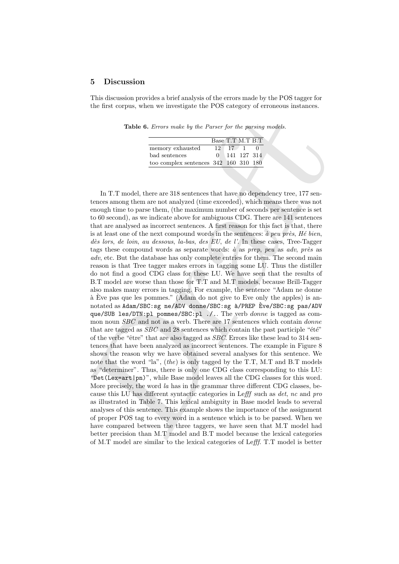## **5 Discussion**

This discussion provides a brief analysis of the errors made by the POS tagger for the first corpus, when we investigate the POS category of erroneous instances.

|                                                           | Base T.T M.T B.T |                 |               |  |
|-----------------------------------------------------------|------------------|-----------------|---------------|--|
| memory exhausted                                          | 12.              | 17 <sup>7</sup> |               |  |
| bad sentences                                             | 0                |                 | $141$ 127 314 |  |
| too complex sentences $342 \quad 160 \quad 310 \quad 180$ |                  |                 |               |  |

**Table 6.** *Errors make by the Parser for the parsing models.*

Table 6. Errors make by the Parser for the garring models.<br>
Theore TT M-T D-T meantage of TM-T D-T 1 (19 17 17 18)<br>
meantage TT M-T D-T 1 (19 17 17 18)<br>
bad sentences <br>
19 12 177 19 14<br>
too complex sentences that have no In T.T model, there are 318 sentences that have no dependency tree, 177 sentences among them are not analyzed (time exceeded), which means there was not enough time to parse them, (the maximum number of seconds per sentence is set to 60 second), as we indicate above for ambiguous CDG. There are 141 sentences that are analysed as incorrect sentences. A first reason for this fact is that, there is at least one of the next compound words in the sentences:  $\dot{a}$  peu près,  $H\acute{e}$  bien, *d`es lors*, *de loin*, *au dessous*, *la-bas*, *des EU*, *de l'*. In these cases, Tree-Tagger tags these compound words as separate words:  $\dot{a}$  as *prep*, *peu* as *adv*, *près* as *adv*, etc. But the database has only complete entries for them. The second main reason is that Tree tagger makes errors in tagging some LU. Thus the distiller do not find a good CDG class for these LU. We have seen that the results of B.T model are worse than those for T.T and M.T models, because Brill-Tagger also makes many errors in tagging. For example, the sentence "Adam ne donne à Ève pas que les pommes." (Adam do not give to Eve only the apples) is annotated as Adam/SBC:sg ne/ADV donne/SBC:sg à/PREP Eve/SBC:sg pas/ADV que/SUB les/DTN:pl pommes/SBC:pl ./.. The verb *donne* is tagged as common noun *SBC* and not as a verb. There are 17 sentences which contain *donne* that are tagged as  $SBC$  and 28 sentences which contain the past participle " $\acute{e}t\acute{e}$ " of the verbe "être" that are also tagged as *SBC*. Errors like these lead to 314 sentences that have been analyzed as incorrect sentences. The example in Figure 8 shows the reason why we have obtained several analyses for this sentence. We note that the word "la", (*the*) is only tagged by the T.T, M.T and B.T models as "determiner". Thus, there is only one CDG class corresponding to this LU: "Det(Lex=art|pn)", while Base model leaves all the CDG classes for this word. More precisely, the word *la* has in the grammar three different CDG classes, because this LU has different syntactic categories in Le*fff* such as *det*, *nc* and *pro* as illustrated in Table 7. This lexical ambiguity in Base model leads to several analyses of this sentence. This example shows the importance of the assignment of proper POS tag to every word in a sentence which is to be parsed. When we have compared between the three taggers, we have seen that M.T model had better precision than M.T model and B.T model because the lexical categories of M.T model are similar to the lexical categories of Le*fff*. T.T model is better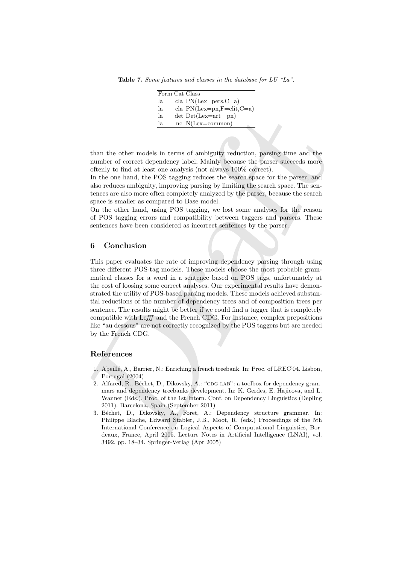**Table 7.** *Some features and classes in the database for LU "La".*

|     | Form Cat Class              |
|-----|-----------------------------|
| la. | cla $PN(Lex=pers,C=a)$      |
| la  | cla $PN(Lex=pn,F=clit,C=a)$ |
| la  | det Det(Lex=art--pn)        |
| la  | $nc$ N(Lex=common)          |

than the other models in terms of ambiguity reduction, parsing time and the number of correct dependency label; Mainly because the parser succeeds more oftenly to find at least one analysis (not always 100% correct).

In the one hand, the POS tagging reduces the search space for the parser, and also reduces ambiguity, improving parsing by limiting the search space. The sentences are also more often completely analyzed by the parser, because the search space is smaller as compared to Base model.

On the other hand, using POS tagging, we lost some analyses for the reason of POS tagging errors and compatibility between taggers and parsers. These sentences have been considered as incorrect sentences by the parser.

## **6 Conclusion**

 $\begin{tabular}{ll} \bf{1a} & \bf{det}\; \bf{Det} (l.e \bf{x} = \rm{ort} \cdot \rm{pn}) \\ \hline \bf{1a} & \bf{net}\; \bf{Det} (l.e \bf{x} = \rm{common}) \\ \hline \bf{1b} & \bf{net}\; \mathcal{N} (l.e \bf{x} = \rm{common}) \\ \hline \bf{1c} & \bf{net}\; \mathcal{N} (l.e \bf{x} \rm{or} \rm{top}) \\ \hline \bf{1d} & \bf{other} \; \mathcal{N} (l.e \bf{x} \rm{or} \rm{top}) \\ \hline \bf{1e} & \bf{other} \; \mathcal{$ This paper evaluates the rate of improving dependency parsing through using three different POS-tag models. These models choose the most probable grammatical classes for a word in a sentence based on POS tags, unfortunately at the cost of loosing some correct analyses. Our experimental results have demonstrated the utility of POS-based parsing models. These models achieved substantial reductions of the number of dependency trees and of composition trees per sentence. The results might be better if we could find a tagger that is completely compatible with Le*fff* and the French CDG. For instance, complex prepositions like "au dessous" are not correctly recognized by the POS taggers but are needed by the French CDG.

## **References**

- 1. Abeillé, A., Barrier, N.: Enriching a french treebank. In: Proc. of LREC'04. Lisbon, Portugal (2004)
- 2. Alfared, R., Béchet, D., Dikovsky, A.: "CDG LAB": a toolbox for dependency grammars and dependency treebanks development. In: K. Gerdes, E. Hajicova, and L. Wanner (Eds.), Proc. of the 1st Intern. Conf. on Dependency Linguistics (Depling 2011). Barcelona, Spain (September 2011)
- 3. Béchet, D., Dikovsky, A., Foret, A.: Dependency structure grammar. In: Philippe Blache, Edward Stabler, J.B., Moot, R. (eds.) Proceedings of the 5th International Conference on Logical Aspects of Computational Linguistics, Bordeaux, France, April 2005. Lecture Notes in Artificial Intelligence (LNAI), vol. 3492, pp. 18–34. Springer-Verlag (Apr 2005)